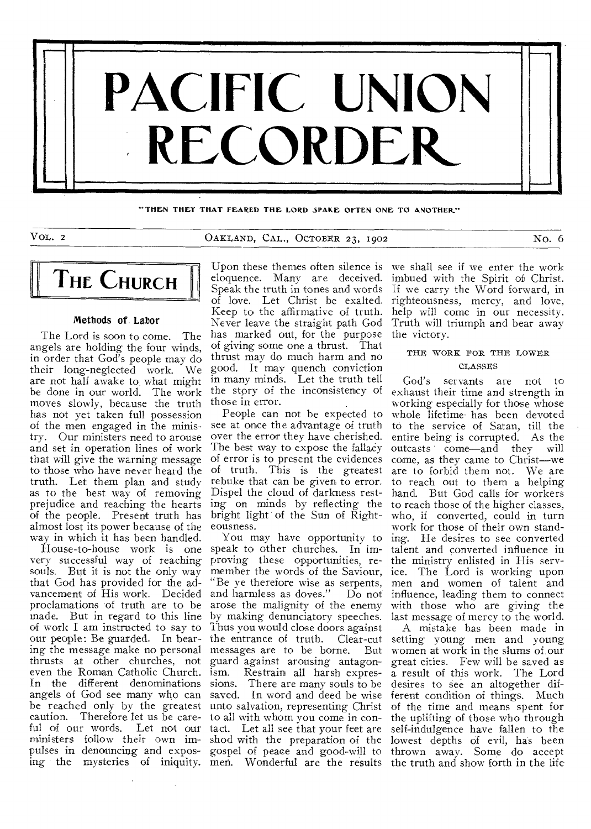

**"THEN THET THAT FEARED THE LORD 3PAKE OFTEN ONE TO ANOTHER."** 

VOL. 2 OAKLAND, CAL., OCTOBER 23, 1902 No. 6



#### Methods of. Labor

The Lord is soon to come. The angels are holding the four winds, in order that God's people may do their long-neglected work. We are not half awake to what might be done in our world. The work moves slowly, because the truth has not yet taken full possession of the men engaged in the minis-see at once the advantage of truth try. Our ministers need to arouse and set in operation lines of work that will give the warning message to those who have never heard the truth. Let them plan and study as to the best way of removing prejudice and reaching the hearts of the people. Present truth has almost lost its power because of the way in which it has been handled.

souls. But it is not the only way that God has provided for the advancement of His work. Decided and harmless as doves." Do not proclamations of truth are to be arose the malignity of the enemy made. But in regard to this line by making denunciatory speeches. of work I am instructed to say to Thus you would close doors against our people: Be guarded. In bear-the entrance of truth. Clear-cut thrusts at other churches, not guard against arousing antagoneven the Roman Catholic Church. ism. Restrain all harsh expresministers follow their own impulses in denouncing and exposing the mysteries of iniquity.

has marked out, for the purpose of giving some one a thrust. That thrust may do much harm and no good. It may quench conviction in many minds. Let the truth tell the story of the inconsistency of those in error.

People can not be expected to over the error they have cherished. The best way to expose the fallacy of error is to present the evidences of truth. This is the greatest rebuke that can be given to error. Dispel the cloud of darkness resting on minds by reflecting the bright light of the Sun of Righteousness.

House-to-house work is one speak to other churches. In imvery successful way of reaching proving these opportunities, re-the ministry enlisted in His serving the message make no personal messages are to be borne. But women at work in the slums of our In the different denominations sions. There are many souls to be desires to see an altogether difangels of God see many who can saved. In word and deed be wise ferent condition of things. Much be reached only by the greatest unto salvation, representing Christ of the time and means spent for caution. Therefore let us be care-to all with whom you come in con-the uplifting of those who through ful of our words. Let not our tact. Let all see that your feet are self-indulgence have fallen to the member the words of the Saviour, "Be ye therefore wise as serpents,<br>and harmless as doves." Do not shod with the preparation of the gospel of peace and good-will to men. Wonderful are the results

Upon these themes often silence is we shall see if we enter the work eloquence. Many are deceived. imbued with the Spirit of Christ. Speak the truth in tones and words If we carry the Word forward, in of love. Let Christ be exalted. righteousness, mercy, and love, Keep to the affirmative of truth. help will come in our necessity. Never leave the straight path God Truth will triumph and bear away the victory.

# THE WORK FOR THE LOWER **CLASSES**

You may have opportunity to ing. He desires to see converted God's servants are not to exhaust their time and strength in working especially for those whose whole lifetime. has been devoted to the service of Satan, till the entire being is corrupted. As the outcasts come—and they will come, as they came to Christ—we are to forbid them not. We are to reach out to them a helping hand. But God calls for workers to reach those of the higher classes, who, if converted, could in turn work for those of their own standtalent and converted influence in ice. The Lord is working upon men and women of talent and influence, leading them to connect with those who are giving the last message of mercy to the world.

A mistake has been made in setting young men and young great cities. Few will be saved as a result of this work. The Lord lowest depths of evil, has been thrown away. Some do accept the truth and show forth in the life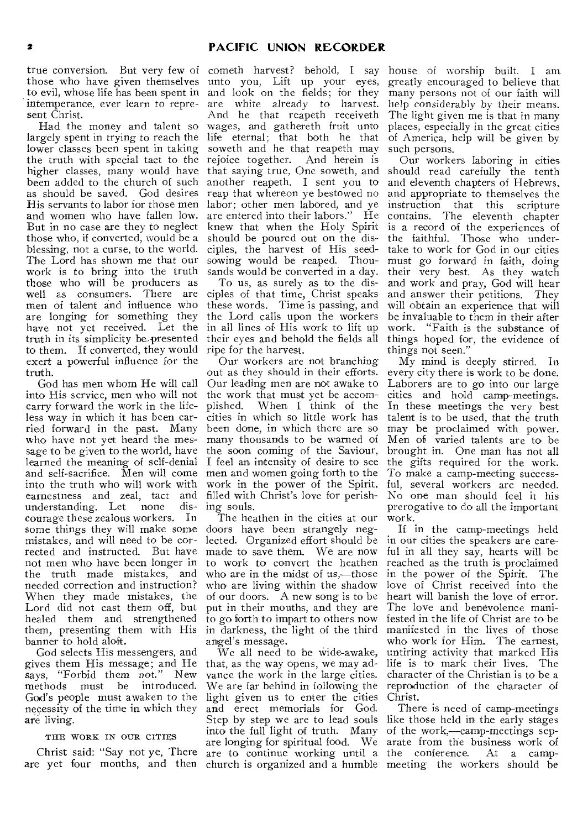those who have given themselves unto you, Lift up your eyes, to evil, whose life has been spent in and look on the fields; for they intemperance, ever learn to repre-are white already to harvest. sent Christ.

largely spent in trying to reach the lower classes been spent in taking the truth with special tact to the higher classes, many would have been added to the church of such as should be saved. God desires His servants to labor for those men and women who have fallen low. But in no case are they to neglect those who, if converted, would be a blessing, not a curse, to the world. The Lord has shown me that our work is to bring into the truth those who will be producers as well as consumers. There are men of talent and influence who are longing for something they have not yet received. Let the truth in its simplicity be presented to them. If converted, they would exert a powerful influence for the truth.

God has men whom He will call into His service, men who will not carry forward the work in the lifeless way in which it has been carried forward in the past. Many who have not yet heard the message to be given to the world, have learned the meaning of self-denial and self-sacrifice. Men will come into the truth who will work with earnestness and zeal, tact and<br>understanding. Let none disunderstanding. Let none courage these zealous workers. In some things they will make some mistakes, and will need to be corrected and instructed. But have not men who have been longer in the truth made mistakes, and needed correction and instruction? When they made mistakes, the Lord did not cast them off, but healed them and strengthened them, presenting them with His banner to hold aloft.

God selects His messengers, and gives them His message; and He *says,* "Forbid them not." New methods must be introduced. God's people must awaken to the necessity of the time in which they are living.

# THE WORK IN OUR CITIES

Christ said: "Say not ye, There

true conversion. But very few of cometh harvest? behold, I say house of worship built. I am Had the money and talent so wages, and gathereth fruit unto And he that reapeth receiveth life eternal; that both he that soweth and he that reapeth may rejoice together. And herein is that saying true, One soweth, and another reapeth. I sent you to reap that whereon ye bestowed no labor; other men labored, and ye are entered into their labors." He knew that when the Holy Spirit should be poured out on the disciples, the harvest of His seedsowing would be reaped. Thousands would be converted in a day.

> To us, as surely as to the disciples of that time, Christ speaks these words. Time is passing, and the Lord calls upon the workers in all lines of His work to lift up their eyes and behold the fields all ripe for the harvest.

Our workers are not branching out as they should in their efforts. Our leading men are not awake to the work that must yet be accom-<br>plished. When I think of the When I think of the cities in which so little work has been done, in which there are so many thousands to be warned of the soon coming of the Saviour, I feel an intensity of desire to see men and women going forth to the work in the power of the Spirit, filled with Christ's love for perishing souls.

The heathen in the cities at our doors have been strangely neglected. Organized effort should be made to save them. We are now to work to convert the heathen who are in the midst of us,—those who are living within the shadow of our doors. A new song is to be put in their mouths, and they are to go forth to impart to others now in darkness, the light of the third angel's message.

We all need to be wide-awake, that, as the way opens, we may advance the work in the large cities. We are far behind in following the light given us to enter the cities and erect memorials for God. into the full light of truth. Many of the work,—camp-meetings separe longing for spiritual food. We arate from the business work of are to continue working until a the conference. At a camp-

greatly encouraged to believe that many persons not of our faith will help considerably by their means. The light given me is that in many places, especially in the great cities of America, help will be given by such persons.

Our workers laboring in cities should read carefully the tenth and eleventh chapters of Hebrews, and appropriate to themselves the instruction that this scripture contains. The eleventh chapter is a record of the experiences of the faithful. Those who undertake to work for God in our cities must *go* forward in faith, doing their very best. As they watch and work and pray, God will hear and answer their petitions. They will obtain an experience that will be invaluable to them in their after work. "Faith is the substance of things hoped for, the evidence of things not seen."

My mind is deeply stirred. In every city there is work to be done. Laborers are to go into our large cities and hold camp-meetings. In these meetings the very best talent is to be used, that the truth may be proclaimed with power. Men of varied talents are to be brought in. One man has not all the gifts required for the work. To make a camp-meeting successful, several workers are needed. No one man should feel it his prerogative to do all the important work.

If in the camp-meetings held in our cities the speakers are careful in all they say, hearts will be reached as the truth is proclaimed in the power of the Spirit. The love of Christ received into the heart will banish the love of error. The love and benevolence manifested in the life of Christ are to be manifested in the lives of those who work for Him. The earnest, untiring activity that marked His life is to mark their lives. The character of the Christian is to be a reproduction of the character of Christ.

are yet four months, and then church is organized and a humble meeting the workers should be Step by step we are to lead souls like those held in the early stages There is need of camp-meetings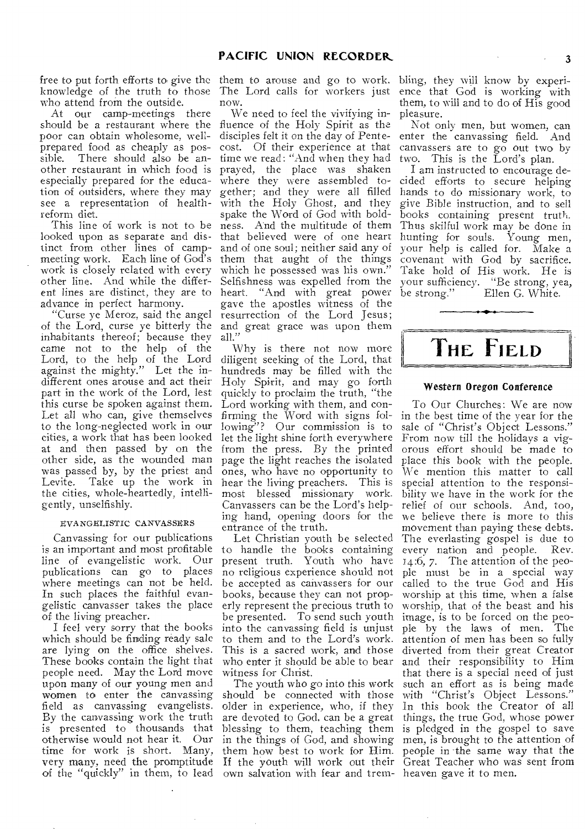free to put forth efforts to give the knowledge of the truth to those who attend from the outside.

At our camp-meetings there should be a restaurant where the poor can obtain wholesome, wellprepared food as cheaply as pos-<br>sible. There should also be an-There should also be another restaurant in which food is especially prepared for the education of outsiders, where they may see a representation of healthreform diet.

This line of work is not to be looked upon as separate and distinct from other lines of campmeeting work. Each line of God's work is closely related with every other line. And while the different lines are distinct, they are to advance in perfect harmony.

"Curse ye Meroz, said the angel of the Lord, curse ye bitterly the inhabitants thereof; because they came not to the help of the Lord, to the help of the Lord against the mighty." Let the indifferent ones arouse and act their part in the work of the Lord, lest this curse be spoken against them. Let all who can, give themselves to the long-neglected work in our cities, a work that has been looked at and then passed by on the other side, as the wounded man was passed by, by the priest and Levite. Take up the work in the cities, whole-heartedly, intelligently, unselfishly.

# EVANGELISTIC CANVASSERS

Canvassing for our publications is an important and most profitable line of evangelistic work. Our publications can go to places where meetings can not be held. In such places the faithful evangelistic canvasser takes the place of the living preacher.

I feel very sorry that the books which should be finding ready sale are lying on the office shelves. These books contain the light that people need. May the Lord move upon many of our young men and women to enter the canvassing field as canvassing evangelists. By the canvassing work the truth is presented to thousands that time for work is short. Many, very many, need the promptitude of the "quickly" in them, to lead

them to arouse and go to work. The Lord calls for workers just now.

We need to feel the vivifying influence of the Holy Spirit as the disciples felt it on the day of Pentecost. Of their experience at that time we read: "And when they had prayed, the place was shaken where they were assembled together; and they were all filled with the Holy Ghost, and they spake the Word of God with boldness. And the multitude of them that believed were of one heart and of one soul; neither said any of them that aught of the things which he possessed was his own." Selfishness was expelled from the heart. "And with great power gave the apostles witness of the resurrection of the Lord Jesus; and great grace was upon them all."

Why is there not now more diligent seeking of the Lord, that hundreds may be filled with the Holy Spirit, and may go forth quickly to proclaim the truth, "the Lord working with them, and confirming the Word with signs following"? Our commission is to let the light shine forth everywhere from the press. By the printed page the light reaches the isolated ones, who have no opportunity to hear the living preachers. This is most blessed missionary work. Canvassers can be the Lord's helping hand, opening doors for the entrance of the truth.

Let Christian youth be selected to handle the books containing present truth. Youth who have no religious experience should not be accepted as canvassers for our books, because they can not properly represent the precious truth to be presented. To send such youth image, is to be forced on the peointo the canvassing field is unjust ple by the laws of men. The to them and to the Lord's work. This is a sacred work, and those who enter it should be able to bear witness for Christ.

otherwise would not hear it. Our in the things of God, and showing men, is brought to the attention of The youth who go into this work should be connected with those older in experience, who, if they are devoted to God, can be a great things, the true God, whose power blessing to them, teaching them is pledged in the gospel to save them how best to work for Him. If the youth will work out their own salvation with fear and trem-

bling, they will know by experience that God is working with them, to will and to do of His good pleasure.

Not only men, but women, can enter the canvassing field. And canvassers are to go out two by two. This is the Lord's plan.

I am instructed to encourage decided efforts to secure helping hands to do missionary work, to give Bible instruction, and to sell books containing present truth. Thus skilful work may be done in hunting for souls. Young men, your help is called for. Make a covenant with God by sacrifice. Take hold of His work. He is your sufficiency. "Be strong, yea,<br>be strong." Ellen G. White. Ellen G. White.



# Western Oregon Conference

To Our Churches: We are now in the best time of the year for the sale of "Christ's Object Lessons." From now till the holidays a vigorous effort should be made to place this book with the people. We mention this matter to call special attention to the responsibility we have in the work for the relief of our schools. And, too, we believe there is more to this movement than paying these debts. The everlasting gospel is due to every nation and people. Rev. 14:6, 7. The attention of the people must be in a special way called to the true God and His worship at this time, when a false worship, that of the beast and his attention of men has been so fully diverted from their great Creator and their responsibility to Him that there is a special need of just such an effort as is being made with "Christ's Object Lessons." In this book the Creator of all people in -the same way that the Great Teacher who was sent from heaven gave it to men.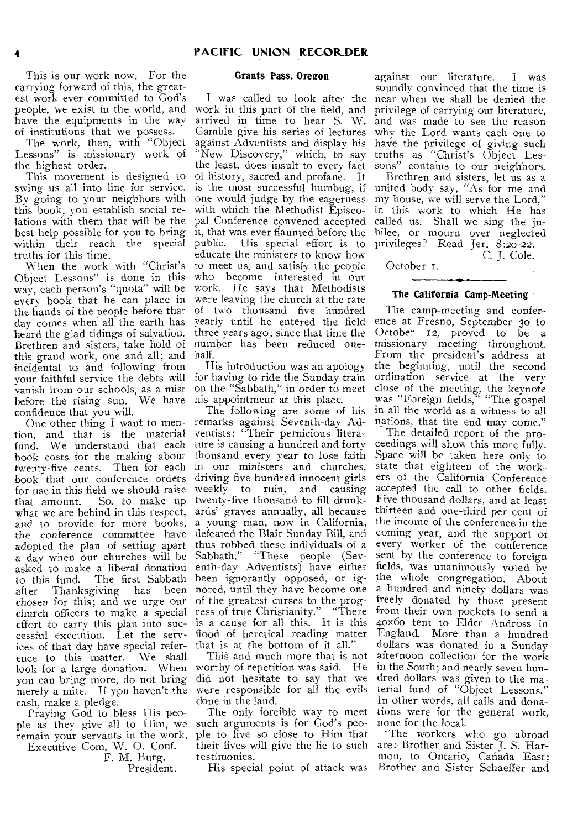This is our work now. For the carrying forward of this, the greatest work ever committed to God's people, we exist in the world, and have the equipments in the way of institutions that we possess.

The work, then, with "Object Lessons" is missionary work of the highest order.

This movement is designed to swing us all into line for service. By going to your neighbors with this book, you establish social relations with them that will be the best help possible for you to bring within their reach the special truths for this time.

When the work with "Christ's Object Lessons" is done in this way, each person's "quota" will be every book that he can place in the hands of the people before that day comes when all the earth has heard the glad tidings of salvation. Brethren and sisters, take hold of number has been reduced onethis grand work, one and all; and incidental to and following from your faithful service the debts will vanish from our schools, as a mist before the rising sun. We have confidence that you will.

tion, and that is the material ventists: "Their pernicious literafund. We understand that each ture is causing a hundred and forty book costs. for the making about twenty-five cents. Then for each in our ministers and churches, book that our conference orders for use in this field we should raise that amount. So, to make up what we are behind in this respect, and to provide for more books, the conference committee have adopted the plan of setting apart a day when our churches will be asked to make a liberal donation<br>to this fund. The first Sabbath The first Sabbath after Thanksgiving has been chosen for this; and we urge our church officers to make a special effort to carry this plan into successful execution. Let the services of that day have special reference to this matter. We shall look for a large donation. When you can bring more, do not bring merely a mite. **If** you haven't the cash, make a pledge.

Praying God to bless His people as they give all to Him, we remain your servants in the work, Executive Com. W. 0. Conf.

F. M. Burg,

President.

# **Grants Pass, Oregon**

work in this part of the field, and arrived in time to hear S. W. Gamble give his series of lectures against Adventists and display his "New Discovery," which, to say the least, does insult to every fact of history, sacred and profane. It is the most successful humbug, if one would judge by the eagerness with which the Methodist Episcopal Conference convened accepted it, that was ever flaunted before the public. His special effort is to educate the ministers to know how to meet us, and satisfy the people who become interested in our work. He says that Methodists were leaving the church at the rate of two thousand five hundred yearly until he entered the field three years ago; since that time the half.

His introduction was an apology for having to ride the Sunday train on the "Sabbath," in order to meet his appointment at this place.

One other thing I want to men-remarks against Seventh-day Ad-The following are some of his thousand every year to lose faith driving five hundred innocent girls weekly to ruin, and causing twenty-five thousand to fill drunkards' graves annually, all because a young man, now in California, defeated the Blair Sunday Bill, and thus robbed these individuals of a Sabbath." "These people (Seventh-day Adventists) have either been ignorantly opposed, or ignored, until they have become one of the greatest curses to the progress of true Christianity." "There is a cause for all this. It is this flood of heretical reading matter that is at the bottom of it all."

> This and much more that is not worthy of repetition was said. He did not hesitate to say that we were responsible for all the evils clone in the land.

The only forcible way to meet such arguments is for God's people to live so close to Him that testimonies.

I was called to look after the near when we shall be denied the against our literature. I was soundly convinced that the time is privilege of carrying our literature, and was made to see the reason why the Lord wants each one to have the privilege of giving such truths as "Christ's Object Lessons" contains to our neighbors.

Brethren and sisters, let us as a united body say, "As for me and my house, we will serve the Lord," in this work to which He has called us. Shall we sing the jubilee, or mourn over neglected privileges? Read Jer. 8:20-22.

C. J. Cole.

October r.

#### **The California Camp-Meeting**

The camp-meeting and conference at Fresno, September 3o to October 12, proved to be a missionary meeting throughout. From the president's address at the beginning, until the second ordination service at the very close of the meeting, the keynote was "Foreign fields," "The gospel in all the world as a witness to all nations, that the end may come."

The detailed report of the proceedings will show this more fully. Space will be taken here only to state that eighteen of the workers of the California Conference accepted the call to other fields. Five thousand dollars, and at least thirteen and one-third per cent of the income of the conference in the coming year, and the support of every worker of the conference sent by the conference to foreign fields, was unanimously voted by the whole congregation. About a hundred and ninety dollars was freely donated by those present from their own pockets to send a 4.0x60 tent to Elder Andross in England. More than a hundred dollars was donated in a Sunday afternoon collection for the work in the South; and nearly seven hundred dollars was given to the material fund of "Object Lessons." In other words, all calls and donations were for the general work, none for the local.

their lives will give the lie to such are: Brother and Sister J. S. Har-His special point of attack was Brother and Sister Schaeffer and The workers who go abroad mon, to Ontario, Canada East;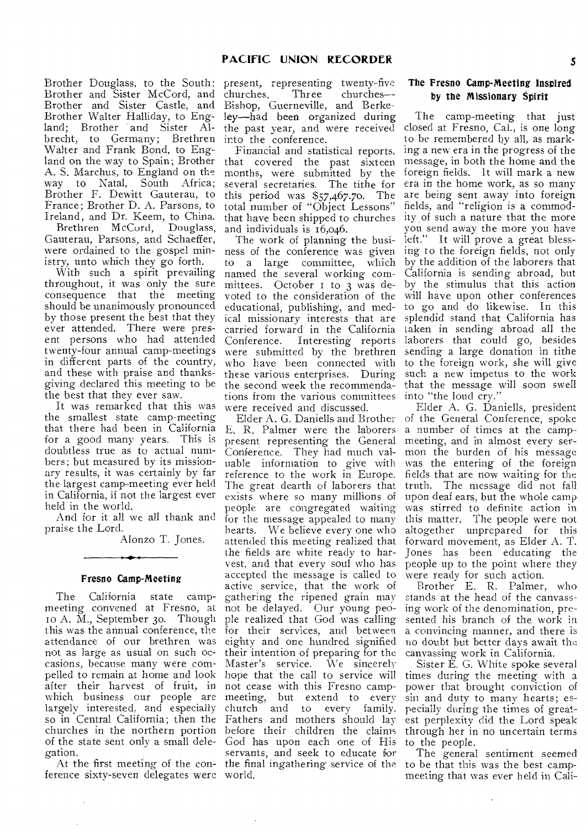Brother Douglass, to the South: Brother and Sister McCord, and Brother and Sister Castle, and Brother Walter Halliday, to England; Brother and Sister Al- the past year, and were received brecht, to Germany; Brethren into the conference. Walter and Frank Bond, to England on the way to Spain; Brother that covered the past sixteen A. S. Marchus, to England on the months, were submitted by the foreign fields. It will mark a new way to Natal, South Africa; Brother F. Dewitt Gauterau, to France; Brother D. A. Parsons, to Ireland, and Dr. Keem, to China.

Brethren McCord, Douglass, Gauterau, Parsons, and Schaeffer, were ordained to the gospel ministry, unto which they go forth.

With such a spirit prevailing throughout, it was only the sure consequence that the meeting should be unanimously pronounced by those present the best that they ever attended. There were present persons who had attended twenty-four annual camp-meetings in different parts of the country, and these with praise and thanksgiving declared this meeting to be the best that they ever saw.

It was remarked that this was the smallest state camp-meeting that there had been in California for a good many years. This is doubtless true as to actual numbers; but measured by its missionary results, it was certainly by far the largest camp-meeting ever held in California, if not the largest ever held in the world.

And for it all we all thank and praise the Lord.

Alonzo T. Jones.

#### Fresno Camp-Meeting

The California state campmeeting convened at Fresno, at to A. M., September 30. Though this was the annual conference, the attendance of our brethren was eighty and one hundred signified not as large as usual on such occasions, because many were compelled to remain at home and look hope that the call to service will after their harvest of fruit, in not cease with this Fresno campwhich business our people are meeting, but extend to every largely interested, and especially church and to every family. so in Central California; then the Fathers and mothers should lay churches in the northern portion before their children the claims of the state sent only a small dele-God has upon each one of His gation.

ference sixty-seven delegates were world.

present, representing twenty-five<br>churches. Three churches-churches. Three churches-- Bishop, Guerneville, and Berkeley—had been organized during

several secretaries. The tithe for this period was \$57,467.70. The total number of "Object Lessons" and individuals is 16,046.

The work of planning the business of the conference was given to a large committee, which named the several working committees. October 1 to 3 was devoted to the consideration of the educational, publishing, and medical missionary interests that are carried forward in the California Conference. Interesting reports were submitted by the brethren who have been connected with these various enterprises. During the second week the recommendations from the various committees were received and discussed.

At the first meeting of the con-the final ingathering service of the to be that this was the best camp-E. R. Palmer were the laborers a number of times at the camppresent representing the General meeting, and in almost every ser-Conference. They had much valuable information to give with reference to the work in Europe. The great dearth of laborers that exists where so many millions of people are congregated waiting for the message appealed to many hearts. We believe every one who attended this meeting realized that the fields are white ready to harvest, and that every soul who has accepted the message is called to active service, that the work of gathering the ripened grain may not be delayed. Our young people realized that God was calling for their services, and between their intention of preparing for the Master's service. We sincerely servants, and seek to educate for

# The Fresno Camp-Meeting Inspired by the Missionary Spirit

Financial and statistical reports, ing a new era in the progress of the that have been shipped to churches ity of such a nature that the more The camp-meeting that just closed at Fresno, Cal., is one long to be remembered by all, as markmessage, in both the home and the era in the home work, as so many are being sent away into foreign fields, and "religion is a commodyou send away the more you have left." It will prove a great blessing to the foreign fields, not only by the addition of the laborers that California is sending abroad, but by the stimulus that this action will have upon other conferences to go and do likewise, In this splendid stand that California has taken in sending abroad all the laborers that could go, besides sending a large donation in tithe to the foreign work, she will give such a new impetus to the work that the message will soon swell into "the loud cry."

Elder A. G. Daniells and Brother of the General Conference, spoke Elder A. G. Daniells, president mon the burden of his message was the entering of the foreign fields that are now waiting for the truth. The message did not fail upon deaf ears, but the whole camp was stirred to definite action in this matter. The people were not altogether unprepared for this forward movement, as Elder A. T. Jones has been educating the people up to the point where they were ready for such action.

Brother E. R. Palmer, who stands at the head of the canvassing work of the denomination, presented his branch of the work in a convincing manner, and there is no doubt but better days await the canvassing work in California.

Sister E. G. White spoke several times during the meeting with a power that brought conviction of sin and duty to many hearts; especially during the times of greatest perplexity did the Lord speak through her in no uncertain terms to the people.

The general sentiment seemed meeting that was ever held in Cali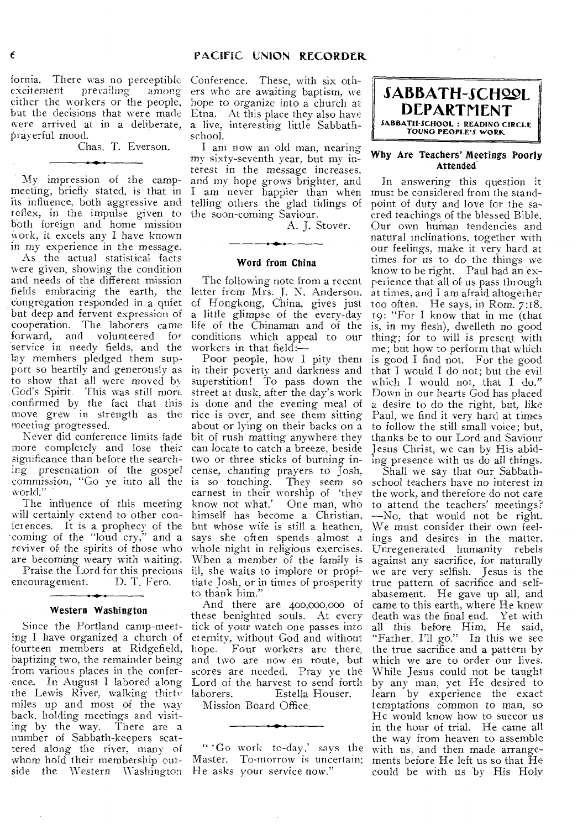fornia. There was no perceptible excitement prevailing among either the workers or the people, but the decisions that were made were arrived at in a deliberate, prayerful mood.

Chas. T. Everson.

My impression of the campmeeting, briefly stated, is that in its influence, both aggressive and reflex, in the impulse given to both foreign and home mission Work, it excels any I have known in my experience in the message.

As the actual statistical facts were given, showing the condition and needs of the different mission fields embracing the earth, the congregation responded in a quiet but deep and fervent expression of cooperation. The laborers came forward, and volunteered for service in needy fields, and the Tay members pledged them support so heartily and generously as to show that all were moved by God's Spirit. This was still more confirmed by the fact that this move grew in strength as the meeting progressed.

Never did conference limits fade more completely and lose their significance than before the searching presentation of the gospel world."

The influence of this meeting will certainly extend to other confer ences. It is a prophecy of the coming of the "loud cry," and a reviver of the spirits of those who are becoming weary with waiting.

Praise the Lord for this precious encouragement. D. T. Fero.

### Western Washington

Since the Portland camp-meeting I have organized a church of fourteen members at Ridgefield, baptizing two, the remainder being from various places in the conference. In August I labored along the Lewis River, walking-thirty miles up and most of the way back, holding meetings and visiting by the way. There are a number of Sabbath-keepers scattered along the river, many of whom hold their membership outside the Western Washington He asks your service now."

Conference. These, with six others who are awaiting baptism, we hope to organize into a church at Etna. At this place they also have a live, interesting little Sabbathschool.

I am now an old man, nearing my sixty-seventh year, but my interest in the message increases, and my hope grows brighter, and I am never happier than when telling others the glad tidings of the soon-coming Saviour.

A. J. Stover.

# Word from China

The following note from a recent letter from Mrs. J. N. Anderson, of Hongkong, China, gives just a little glimpse of the every-day life of the Chinaman and of the conditions which appeal to our workers in that field:—

commission, "Go ye into all the is so touching. They seem so Poor people, how I pity them in their poverty and darkness and superstition! To pass down the street at dusk, after the day's work is done and the evening meal of rice is over, and see them sitting about or lying on their backs on a hit of rush matting anywhere they can locate to catch a breeze, beside two or three sticks of burning incense, chanting prayers to Josh,<br>is so touching. They seem so earnest in their worship of 'they know not what.' One man, who himself has become a Christian, but whose wife is still a heathen, whole night in religious exercises. When a member of the family is ill, she waits to implore or propitiate Josh, or in times of prosperity to thank him."

> And there are 400,000,000 of these benighted souls. At every tick of your watch one passes into eternity, without God and without hope. Four workers are there, and two are now en route, but scores are needed. Pray ye the Lord of the harvest to send forth<br>laborers. Estella Houser. Estella Houser.

Mission Board Office.

" 'Go work to-day,' says the Master. To-morrow is uncertain;



# Why Are Teachers' Meetings Poorly Attended

In answering this question it must be considered from the standpoint of duty and love for the sacred teachings of the blessed Bible, Our own human tendencies and natural inclinations, together with our feelings, make it very hard at times for us to do the things we know to be right. Paul had an experience that all of us pass through at times, and I am afraid altogether too often. He says, in Rom. 7:18, 19: "For I know that in me (that is, in my flesh), dwelleth no good thing; for to will is present with me; but how to perform that which is good I find not. For the good that I would I do not; but the evil which I would not, that I do." Down in our hearts God has placed a desire to do the right, but, like Paul, we find it very hard at times to follow the still small voice; hut, thanks be to our Lord and Saviour Jesus Christ, we can by His abiding presence with us do all things.

says she often spends almost a ings and desires in the matter. Shall we say that our Sabbathschool teachers have no interest in the work, and therefore do not care to attend the teachers' meetings? —No, that would not be right. We must consider their own feel-Unregenerated humanity rebels against any sacrifice, for naturally we are very selfish. Jesus is the true pattern of sacrifice and selfabasement. He gave up all, and came to this earth, where He knew death was the final end. Yet with all this before Him, He said, "Father, I'll go." In this we see the true sacrifice and a pattern by which we are to order our lives. While Jesus could not be taught by any man, yet He desired to learn by experience the exact temptations common to man, so He would know how to succor us in the hour of trial. He came all the way from heaven to assemble with us, and then made arrangements before He left us so that He could be with us by His Holy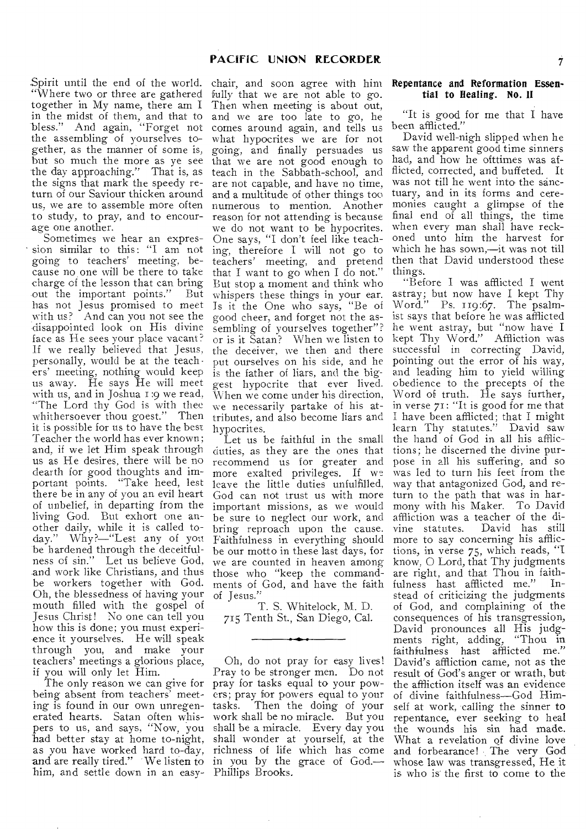Spirit until the end of the world. "Where two or three are gathered together in My name, there am I in the midst of them, and that to bless." And again, "Forget not the assembling of yourselves together, as the manner of some is, but so much the more as ye see the day approaching." That is, as the signs that mark the speedy return of our Saviour thicken around us, we are to assemble more often to study, to pray, and to encourage one another.

Sometimes we hear an expres- . sion similar to this: "I am not going to teachers' meeting, because no one will be there to take charge of the lesson that can bring<br>out the important points." But out the important points." has not Jesus promised to meet with us? And can you not see the disappointed look on His divine face as He sees your place vacant? If we really believed that Jesus, personally, would be at the teachers' meeting, nothing would keep us away. He says He will meet with us, and in Joshua 1:9 we read, "The Lord thy God is with thee whithersoever thou goest." Then it is possible for us to have the best. hypocrites. Teacher the world has ever known; and, if we let Him speak through us as He desires, there will be no dearth for good thoughts and important points. "Take heed, lest there be in any of you an evil heart of unbelief, in departing from the living God. But exhort one another daily, while it is called to-<br>day." Why?—"Lest any of you Why?—"Lest any of you be hardened through the deceitfulness of sin." Let us believe God, and work like Christians, and thus be workers together with God. Oh, the blessedness of having your mouth filled with the gospel of Jesus Christ! No one can tell you how this is done; you must experience it yourselves. He will speak through you, and make your teachers' meetings a glorious place, if you will only let Him.

The only reason we can give for being absent from teachers' meeting is found in our own unregenerated hearts. Satan often whispers to us, and says, "Now, you shall be a miracle. Every day you had better stay at home to-night, shall wonder at yourself, at the as you have worked hard to-day, richness of life which has come and are really tired." We listen to in you by the grace of God. him, and settle down in an easy-Phillips Brooks.

chair, and soon agree with him fully that we are not able to go. Then when meeting is about out, and we are too late to go, he comes around again, and tells us what hypocrites we are for not going, and finally persuades us that we are not good enough to teach in the Sabbath-school, and are not capable, and have no time, and a multitude of other things too numerous to mention. Another reason for not attending is because we do not want to be hypocrites. One says, "I don't feel like teaching, therefore I will not go to teachers' meeting, and pretend that I want to go when I do not." But stop a moment and think who whispers these things in your ear. Is it the One who says, "Be of good cheer, and forget not the assembling of yourselves together"? or is it Satan? When we listen to the deceiver, we then and there put ourselves on his side, and he is the father of liars, and the biggest hypocrite that ever lived. When we come under his direction, we necessarily partake of his attributes, and also become liars and

Let us be faithful in the small duties, as they are the ones that recommend us for greater and more exalted privileges. If we leave the little duties unfulfilled. God can not trust us with more important missions, as we would be sure to neglect our work, and bring reproach upon the cause. Faithfulness in everything should be our motto in these last days, for we are counted in heaven among those who "keep the commandments of God, and have the faith of Jesus."

T. S. Whitelock, M. D. 715 Tenth St., San Diego, Cal.

Oh, do not pray for easy lives! Pray to be stronger men. Do not pray for tasks equal to your powers; pray for powers equal to your tasks. Then the doing of your work shall be no miracle. But you

# Repentance and Reformation Essential to Healing. No. II

"It is good for me that I have been afflicted."

David well-nigh slipped when he saw the apparent good time sinners had, and how he ofttimes was afflicted, corrected, and buffeted. It was not till he went into the sanctuary, and in its forms and ceremonies caught a glimpse of the final end of all things, the time when every man shall have reckoned unto him the harvest for which he has sown,—it was not till then that David understood these things.

"Before I was afflicted I went astray; but now have I kept Thy Word." Ps. 119:67. The psalmist says that before he was afflicted he went astray, but "now have I kept Thy Word." Affliction was successful in correcting David, pointing out the error of his way, and leading him to yield willing obedience to the precepts of the Word of truth. He says further, in verse 71: "It is good for me that I have been afflicted; that I might learn Thy statutes." David saw the hand of God in all his afflictions; he discerned the divine purpose in all his suffering, and so was led to turn his feet from the way that antagonized God, and return to the path that was in harmony with his Maker. To David affliction was a teacher of the divine statutes. David has still more to say concerning his afflictions, in verse 75, which reads, "I know, 0 Lord, that Thy judgments are right, and that Thou in faith-<br>fulness hast afflicted me." Infulness hast afflicted me." stead of criticizing the judgments of God, and complaining of the consequences of his transgression, David pronounces all His judgments right, adding, "Thou in faithfulness bast afflicted me." David's affliction came, not as the result of God's anger or wrath, but the affliction itself was an evidence of divine faithfulness—God Himself at work, calling the sinner to repentance, ever seeking to heal the wounds his sin had made. What a revelation of divine love and forbearance! The very God whose law was transgressed, He it is- who is' the first to come to the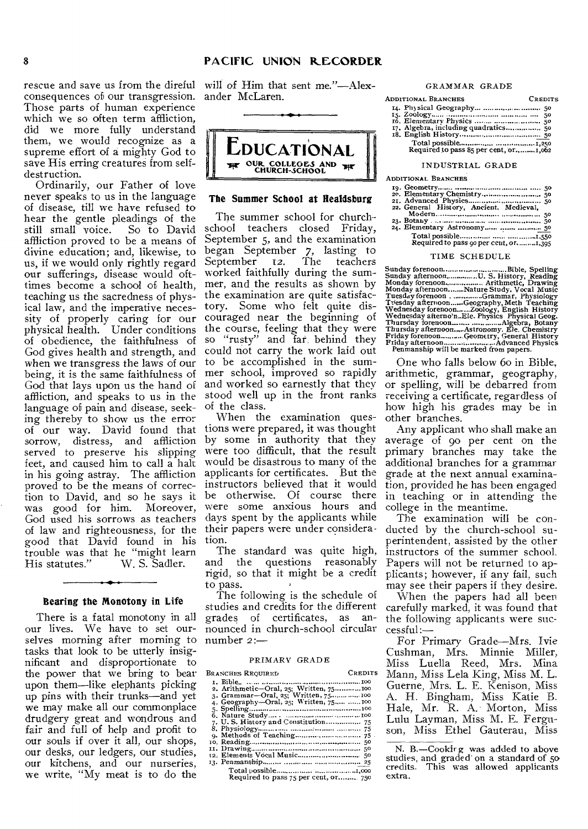rescue and save us from the direful consequences of our transgression. Those parts of human experience which we so often term affliction, did we more fully understand them, we would recognize as a supreme effort of a mighty God to save His erring creatures from selfdestruction.

Ordinarily, our Father of love never speaks to us in the language of disease, till we have refused to hear the gentle pleadings of the<br>still small voice. So to David still small voice. affliction proved to be a means of divine education; and, likewise, to us, if we would only rightly regard our sufferings, disease would ofttimes become a school of health, teaching us the sacredness of physical law, and the imperative necessity of properly caring for our physical health. Under conditions of obedience, the faithfulness of God gives health and strength, and when we transgress the laws of our being, it is the same faithfulness of God that lays upon us the hand of affliction, and speaks to us in the language of pain and disease, seeking thereby to show us the error of our way. David found that sorrow, distress, and affliction served to preserve his slipping feet, and caused him to call a halt in his going astray. The affliction proved to be the means of correction to David, and so he says it was good for him. Moreover, God used his sorrows as teachers of law and righteousness, for the good that David found in his trouble was that he "might learn His statutes." W. S. Sadler.

### **Bearing the Monotony in Life**

There is a fatal monotony in all our lives. We have to set ourselves morning after morning to tasks that look to be utterly insignificant and disproportionate to the power that we bring to bear upon them—like elephants picking up pins with their trunks—and yet we may make all our commonplace drudgery great and wondrous and fair and full of help and profit to our souls if over it all, our shops, our desks, our ledgers, our studies, our kitchens, and our nurseries, we write, "My meat is to do the

will of Him that sent me."—Alexander McLaren.



#### **The Summer School at Healdsburg**

The summer school for churchschool teachers closed Friday, September 5, and the examination began September 7, lasting to September 12. The teachers worked faithfully during the summer, and the results as shown by the examination are quite satisfactory. Some who felt quite discouraged near the beginning of the course, feeling that they were so "rusty" and far behind they could not carry the work laid out to be accomplished in the summer school, improved so rapidly and worked so earnestly that they stood well up in the front ranks of the class.

When the examination questions were prepared, it was thought by some in authority that they were too difficult, that the result would be disastrous to many of the applicants for certificates. But the instructors believed that it would be otherwise. Of course there were some anxious hours and days spent by the applicants while their papers were under consideration.

The standard was quite high, and the questions reasonably rigid, so that it might be a credit to pass.

The following is the schedule of studies and credits for the different grades of certificates, as announced in church-school circular number *2:—* 

#### PRIMARY GRADE

BRANCHES REQUIRED CREDITS I. Bible\_ too 2. Arithmetic—Oral, 25; Written, 75 zoo 3. Grammar—Oral, 25; Written, 75 Too 4. Geography—Oral, 25; Written, 75 roo 5. Spelling Too 6. Nature Study... roo 7. U. S. History and Constitution 75 8. Physiology 75 9. Methods of Teaching ...... ..... ...... ...... 75 10. Reading 50<br>
11. Drawing 50<br>
12. Elements Vocal Music 50<br>
12. Elements Vocal Music 50 13. Penmanship 25 Total uossible r 000 Required to pass 75 per cent, or 750

| GRAMMAR GRADE |  |
|---------------|--|
|---------------|--|

| ADDITIONAL BRANCHES                                       | CREDITS |
|-----------------------------------------------------------|---------|
| 14. Physical Geography  50<br>16. Elementary Physics   50 |         |
| Required to pass 85 per cent, or,1,062<br>.               |         |

#### INDUSTRIAL GRADE

ADDITIONAL BRANCHES

| 22. General History, Ancient, Medieval, |  |
|-----------------------------------------|--|
|                                         |  |
| 24. Elementary Astronomy   50           |  |
|                                         |  |
| Required to pass 90 per cent, or1,395   |  |

#### TIME SCHEDULE

Sunday forenoon Bible, Spelling Sunday afternoon. U. S. History, Reading Monday forenoon Arithmetic, Drawing Monday afternoon........Nature Study, Vocal Music Tuesday forenoon . Grammar, Physiology Tuesday afternoon.......Geography, Meth Teaching Wednesday forenoon.......Zoology, English History Wednesday afterno'n..Ele. Physics Physical Geog. Thursday forenoon Algebra, Botany Thursday afternoon Astronomy, Ele. Chemistry Friday forenoon ....... Geometry, General History Friday afternoon Advanced Physics Penmanship will be marked from papers.

One who falls below 6o in Bible, arithmetic, grammar, geography, or spelling, will be debarred from receiving a certificate, regardless of how high his grades may be in other branches.

Any applicant who shall make an average of 90 per cent on the primary branches may take the additional branches for a grammar grade at the next annual examination, provided he has been engaged in teaching or in attending the college in the meantime.

The examination will be conducted by the church-school superintendent, assisted by the other instructors of the summer school. Papers will not be returned to applicants; however, if any fail, such may see their papers if they desire.

When the papers had all been carefully marked, it was found that the following applicants were successful:—

For Primary Grade—Mrs. Ivie Cushman, Mrs. Minnie Miller, Miss Luella Reed, Mrs. Mina Mann, Miss Lela King, Miss M. L. Guerne, Mrs. L. E. Kenison, Miss A. H. Bingham, Miss Katie B. Hale, Mr. R. A. Morton, Miss Lulu Layman, Miss M. E. Ferguson, Miss Ethel Gauterau, Miss

N. B.—Cookir g was added to above studies, and graded' on a standard of 5o credits. This was allowed applicants extra.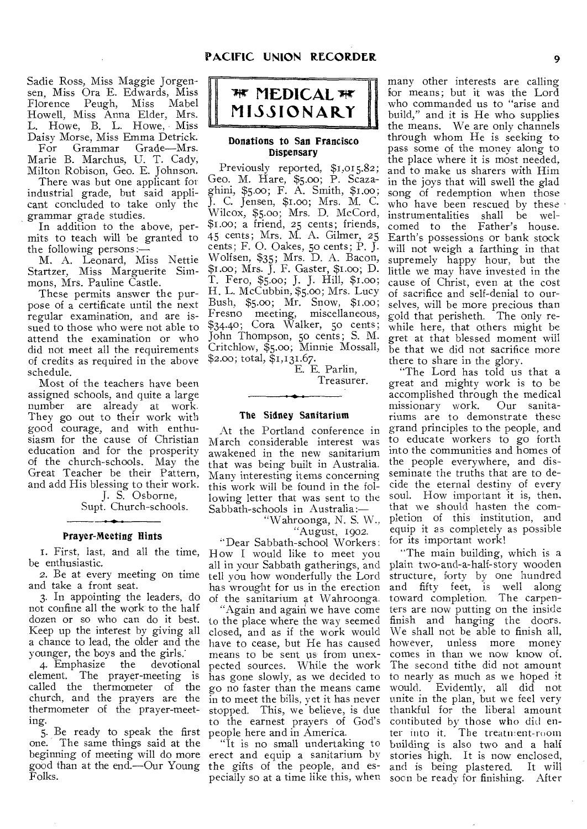Sadie Ross, Miss Maggie Jorgensen, Miss Ora E. Edwards, Miss Florence Peugh, Miss Mabel Howell, Miss Anna Elder, Mrs. L. Howe, B. L. Howe, Miss Daisy Morse, Miss Emma Detrick.

For Grammar Grade—Mrs. Marie B. Marchus, U. T. Cady, Milton Robison, Geo. E. Johnson.

There was but one applicant for industrial grade, but said applicant concluded to take only the grammar grade studies.

In addition to the above, permits to teach will be granted to the following persons :—

M. A. Leonard, Miss Nettie Startzer, Miss Marguerite Simmons, Mrs. Pauline Castle.

These permits answer the purpose of a certificate until the next regular examination, and are issued to those who were not able to attend the examination or who did not meet all the requirements of credits as required in the above schedule.

Most of the teachers have been assigned schools, and quite a large number are already at work. They go out to their work with good courage, and with enthusiasm for the cause of Christian education and for the prosperity of the church-schools. May the Great Teacher be their Pattern, and add His blessing to their work.

J. S. Osborne, Supt. Church-schools.

#### Prayer-Meeting **Hints**

1. First, last, and all the time, be enthusiastic.

2. Be at every meeting on time and take a front seat.

3. In appointing the leaders, do not confine all the work to the half dozen or so who can do it best. Keep up the interest by giving all a chance to lead, the older and the younger, the boys and the girls.<br>4. Emphasize the devotional

4. Emphasize the element. The prayer-meeting is called the thermometer of the church, and the prayers are the thermometer of the prayer-meeting.

5. Be ready to speak the first people here and in America. one. The same things said at the Folks.



# Donations to San Francisco **Dispensary**

Previously reported, \$1,015.82; Geo. M. Hare, \$5.00; P. Scazaghini, \$5.00; F. A. Smith, \$1.00; J. C. Jensen, \$1.00; Mrs. M. C. Wilcox, \$5.00; Mrs. D. McCord, \$1.00; a friend, 25 cents; friends, 45 cents; Mrs. M. A. Gilmer, 25 cents; F. 0. Oakes, 5o cents; P. J. Wolfsen, \$35; Mrs. D. A. Bacon, \$1.00; Mrs. J. F. Gaster, \$1.00; D. T. Fero, \$5.00; J. J. Hill, \$1.00; H. L. McCubbin, \$5.00; Mrs. Lucy Bush, \$5.00; Mr. Snow, \$1.00; Fresno meeting, miscellaneous, \$34.40; Cora Walker, 5o cents; John Thompson, 5o cents; S. M. Critchlow, \$5.00; Minnie Mossall, \$2.00; total, \$1,131.67.

E. E. Parlin, Treasurer.

# The Sidney Sanitarium

At the Portland conference in March considerable interest was awakened in the new sanitarium that was being built in Australia. Many interesting items concerning this work will be found in the following letter that was sent to the Sabbath-schools in Australia:— "Wahroonga, N. S. W.,

"August, 1902.

-Dear Sabbath-school Workers: How I would like to meet you all in your Sabbath gatherings, and tell you how wonderfully the Lord has wrought for us in the erection of the sanitarium at Wahroonga.

"Again and again we have come to the place where the way seemed closed, and as if the work would have to cease, but He has caused means to be sent us from unexpected sources. While the work to the earnest prayers of God's contibuted by those who did en-

"It is no small undertaking to pecially so at a time like this, when soon be ready for finishing. After

many other interests are calling for means; but it was the Lord who commanded us to "arise and build," and it is He who supplies the means. We are only channels through whom He is seeking to pass some of the money along to the place where it is most needed, and to make us sharers with Him in the joys that will swell the glad song of redemption when those who have been rescued by these instrumentalities shall be welcomed to the Father's house. Earth's possessions or bank stock will not weigh a farthing in that supremely happy hour, but the little we may have invested in the cause of Christ, even at the cost of sacrifice and self-denial to ourselves, will be more precious than gold that perisheth. The only rewhile here, that others might be gret at that blessed moment will be that we did not sacrifice more there to share in the glory.

"The Lord has told us that a great and mighty work is to be accomplished through the medical missionary work. Our sanitariums are to demonstrate these grand principles to the people, and to educate workers to go forth into the communities and homes of the people everywhere, and disseminate the truths that are to decide the eternal destiny of every soul. How important it is, then, that we should hasten the completion of this institution, and equip it as completely as possible for its important work!

beginning of meeting will do more erect and equip a sanitarium, by stories high. It is now enclosed, good than at the end.—Our Young the gifts of the people, and es-and is being plastered. It will has gone slowly, as we decided to to nearly as much as we hoped it go no faster than the means came would. Evidently, all did not in to meet the bills, yet it has never unite in the plan, but we feel very stopped. This, we believe, is due thankful for the liberal amount "The main building, which is a plain two-and-a-half-story wooden structure, forty by one hundred and fifty feet, is well along toward completion. The carpenters are now putting on the inside finish and hanging the doors. We shall not be able to finish all, however, unless more money comes in than we now know of. The second tithe did not amount ter into it. The treatment-room building is also two and a half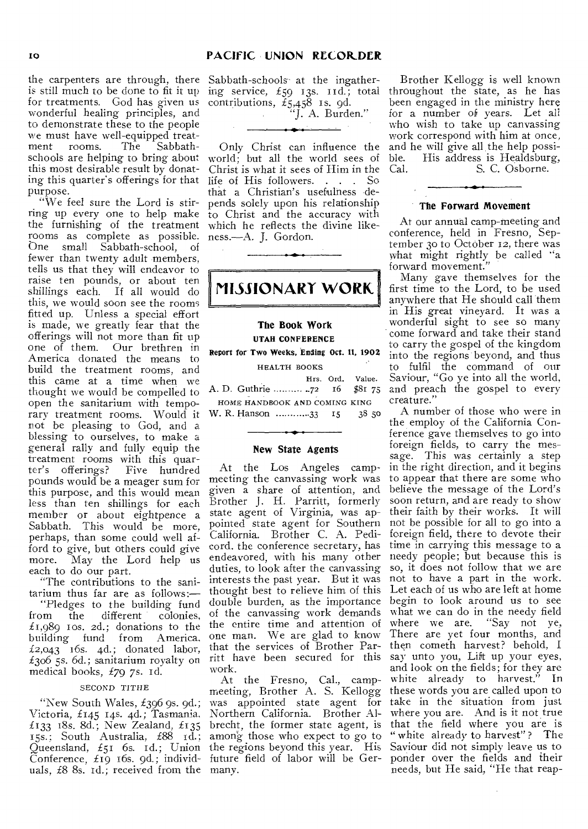the carpenters are through, there Sabbath-schools at the ingatheris still much to be done to fit it up ing service,  $\epsilon_{59}$  13s. IId.; total throughout the state, as he has for treatments. God has given us contributions,  $\tilde{t}_5$ ,458 Is. 9d. wonderful healing principles, and to demonstrate these to the people we must have well-equipped treat-<br>ment rooms. The Sabbath-Sabbathschools are helping to bring about world; but all the world sees of this most desirable result by donatpurpose.

"We feel sure the Lord is stirring up every one to help make the furnishing of the treatment rooms as complete as possible. One small Sabbath-school, of fewer than twenty adult members, tells us that they will endeavor to raise ten pounds, or about ten shillings each. If all would do this, we would soon see the rooms fitted up. Unless a special effort is made, we greatly fear that the offerings will not more than fit up one of them. Our brethren in America donated the means to build the treatment rooms, and this came at a time when we thought we would he compelled to open the sanitarium with temporary treatment rooms. Would it not be pleasing to God, and a blessing to ourselves, to make a general rally and fully equip the treatment rooms with this quarter's offerings? Five hundred pounds would be a meager sum for this purpose, and this would mean less than ten shillings for each member or about eightpence a Sabbath. This would be more, perhaps, than some could well afford to give, but others could give more. May the Lord help us each to do our part.

"The contributions to the sanitarium thus far are as follows:—

"Pledges to the building fund from the different colonies, from the different colonies,<br> $\text{\emph{t}}_{1,989}$  los. 2d.; donations to the building fund from America,  $12,043$  16s. 4d.; donated labor, 13o6 *5s.* 6d.; sanitarium royalty on ritt have been secured for this medical books,  $f/29$  7s. id.

### SECOND TITHE

"New South Wales,  $\pounds 396$  9s. 9d.; Victoria, £145 14s. 4d.; Tasmania.  $£133$  18s. 8d.; New Zealand,  $£135$  $15s$ .; South Australia,  $£88$   $1d$ .; Queensland,  $f_{51}$  6s. 1d.; Union the regions beyond this year. His Conference, £19 16s. 9d.; individ- future field of labor will be Geruals,  $\pounds 8$  8s. Id.; received from the many.

"J. A. Burden."

ing this quarter's offerings for that life of His followers. . . . So Only Christ can influence the Christ is what it sees of Him in the that a Christian's usefulness depends solely upon his relationship to Christ and the accuracy with which he reflects the divine likeness.—A. J. Gordon.



HEALTH BOOKS

Hrs. Ord. Value. A. D. Guthrie ......... ... 72 16 \$81 75 HOME HANDBOOK AND COMING KING W. R. Hanson ..............33 15 38 50

## New State Agents

At the Los Angeles campmeeting the canvassing work was given a share of attention, and Brother J. H. Parritt, formerly state agent of Virginia, was appointed state agent for Southern California. Brother C. A. Pedicord, the conference secretary, has endeavored, with his many other duties, to look after the canvassing interests the past year. But it was thought best to relieve him of this double burden, as the importance of the canvassing work demands the entire time and attention of one man. We are glad to know that the services of Brother Parwork.

At the Fresno, Cal., campmeeting, Brother A. S. Kellogg was appointed state agent for Northern California. Brother Albrecht, the former state agent, is among those who expect to go to

Brother Kellogg is well known been engaged in the ministry here for a number of years. Let all who wish to take up canvassing work correspond with him at once, and he will give all the help possible. His address is Healdsburg, Cal. S. C. Osborne. S. C. Osborne.

#### The Forward Movement

At our annual camp-meeting and conference, held in Fresno, September 30 to October 12, there was what might rightly be called "a forward movement."

Many gave themselves for the first time to the Lord, to be used anywhere that He should call them in His great vineyard. It was a wonderful sight to see so many come forward and take their stand to carry the gospel of the kingdom into the regions beyond, and thus to fulfil the command of our Saviour, "Go ye into all the world, and preach the gospel to every creature."

A number of those who were in the employ of the California Conference gave themselves to go into foreign fields, to carry the message. This was certainly a step in the right direction, and it begins to appear that there are some who believe the message of the Lord's soon return, and are ready to show their faith by their works. It will not be possible for all to go into a foreign field, there to devote their time in carrying this message to a needy people; but because this is so, it does not follow that we are not to have a part in the work. Let each of us who are left at home begin to look around us to see what we can do in the needy field where we are. "Say not ye, There are yet four months, and then cometh harvest? behold, I say unto you, Lift up your eyes, and look on the fields; for they are white already to harvest." In these words you are called upon to take in the situation from just where you are. And is it not true that the field where you are is " white already to harvest"? The Saviour did not simply leave us to ponder over the fields and their needs, but He said, "He that reap-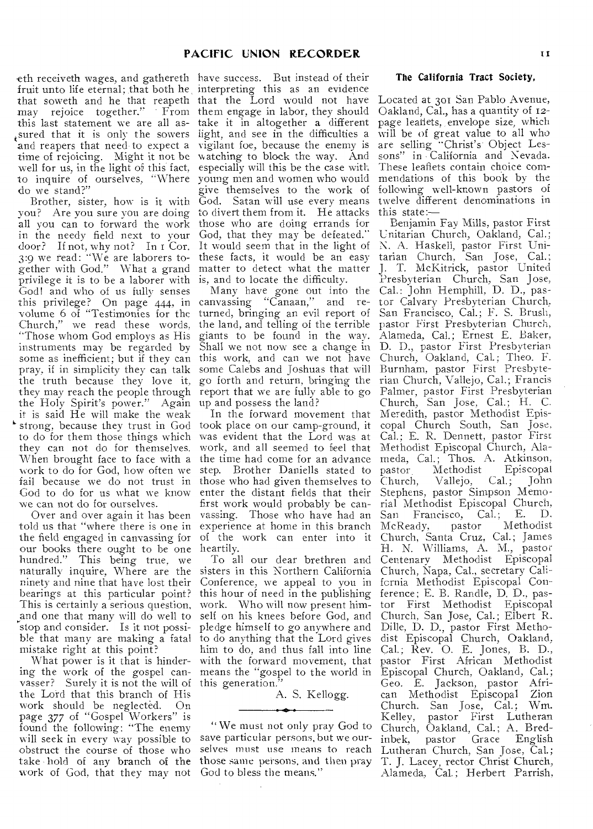fruit unto life eternal; that both he, interpreting this as an evidence that soweth and he that reapeth that the Lord would not have may rejoice together." From them engage in labor, they should this last statement we are all as-take it in altogether a different k and reapers that need to expect a sured that it is only the sowers light, and see in the difficulties a time of rejoicing. Might it not be watching to block the way. And well for us, in the light of this fact, to inquire of ourselves, "Where do we stand?"

Brother, sister, how is it with you? Are you sure you are doing all you can to forward the work in the needy field next to your door? If not, why not? In r Cor. 3:9 we read: "We are laborers together with God." What a grand privilege it is to be a laborer with God! and who of us fully senses this privilege? On page 444, in volume 6 of "Testimonies for the Church," we read these words, "Those whom God employs as His instruments may be regarded by some as inefficient; but if they can pray, if in simplicity they can talk the truth because they love it, they may reach the people through the Holy Spirit's power." Again it is said He will make the weak strong, because they trust in God to do for them those things which they can not do for themselves. When brought face to face with a work to do for God, how often we fail because we do not trust in God to do for us what we know we can not do for ourselves.

told us that "where there is one in the field engaged in canvassing for of the work can enter into it our books there ought to be one heartily. hundred." This being true, we naturally inquire, Where are the ninety and nine that have lost their bearings at this particular point? This is certainly a serious question, and one that many will do well to stop and consider. Is it not possible that many are making a fatal to do anything that the Lord gives mistake right at this point?

What power is it that is hindering the work of the gospel canvasser? Surely it is not the will of this generation." the Lord that this branch of His work should be neglected. On page 377 of "Gospel Workers" is found the following: "The enemy will seek in every way possible to obstruct the course of those who take hold of any branch of the work of God, that they may not

-eth receiveth wages, and gathereth have success. But instead of their vigilant foe, because the enemy is especially will this be the case with young men and women who would give themselves to the work of God. Satan will use every means to divert them from it. He attacks those who are doing errands for God, that they may be defeated." It would seem that in the light of these facts, it would be an easy matter to detect what the matter is, and to locate the difficulty.

Many have gone out into the canvassing "Canaan," and returned, bringing an evil report of the land, and telling of the terrible giants to be found in the way. Shall we not now see a change in this work, and can we not have some Calebs and Joshuas that will go forth and return, bringing the report that we are fully able to go up and possess the land?

Over and over again it has been vassing. Those who have had an In the forward movement that took place on our camp-ground, it was evident that the Lord was at work, and all seemed to feel that the time had come for an advance step. Brother Daniells stated to those who had given themselves to enter the distant fields that their first work would probably be canexperience at home in this branch

> To all our dear brethren and sisters in this Northern California Conference, we appeal to you in this hour of need in the publishing work. Who will now present himself on his knees before God, and pledge himself to go anywhere and him to do, and thus fall into line with the forward movement, that means the "gospel to the world in

# A. S. Kellogg.

" We must not only pray God to save particular persons, but we ourselves must use means to reach those same persons, and then pray God to bless the means."

# The California Tract Society,

Located at 301 San Pablo Avenue, Oakland, Cal., has a quantity of 12 page leaflets, envelope size, which will be of great value to all who are selling "Christ's Object Lessons" in California and Nevada. These leaflets contain choice commendations of this book by the following well-known pastors of twelve different denominations in this state:—

Benjamin Fay Mills, pastor First Unitarian Church, Oakland, Cal.; N. A. Haskell, pastor First Unitarian Church, San Jose, Cal.; J. T. McKitrick, pastor United Presbyterian Church, San Jose, Cal.: John Hemphill, D. D., pastor Calvary Presbyterian Church, San Francisco, Cal.; F. S. Brush, pastor First Presbyterian Church, Alameda, Cal.; Ernest E. Baker, D. I)., pastor First Presbyterian Church, Oakland, Cal.; Theo. F. Burnham, pastor First Presbyterian Church, Vallejo, Cal.; Francis Palmer, pastor First Presbyterian Church, San Jose, Cal.; H. C. Meredith, pastor Methodist Episcopal Church South, San Jose, Cal.; E. R. Dennett, pastor First Methodist Episcopal Church, Alameda, Cal.; Thos. A. Atkinson,<br>pastor Methodist Episcopal Methodist Episcopal Church, Vallejo, Cal.; John Stephens, pastor Simpson Memorial Methodist Episcopal Church, San Francisco, Cal.; E. D. McReady, pastor Methodist Church, Santa Cruz, Cal.; James H. N. Williams, A. NI., pastor Centenary Methodist Episcopal Church, Napa, Cal., secretary California Methodist Episcopal Conference; E. B. Randle, D. D., pastor First Methodist Episcopal Church, San Jose, Cal.; Elbert R. Dille, D. D., pastor First Methodist Episcopal Church, Oakland, Cal.; Rev. 0. E. Jones, B. D., pastor First African Methodist Episcopal Church, Oakland, Cal.; Geo. E. Jackson, pastor African Methodist Episcopal Zion Church. San Jose, Cal.; Wm. Kelley, pastor First Lutheran Church, Oakland, Cal.; A. Bredinbek, pastor Grace English Lutheran Church, San Jose, Cal.; T. J. Lacey, rector Christ Church, Alameda, Cal.; Herbert Parrish,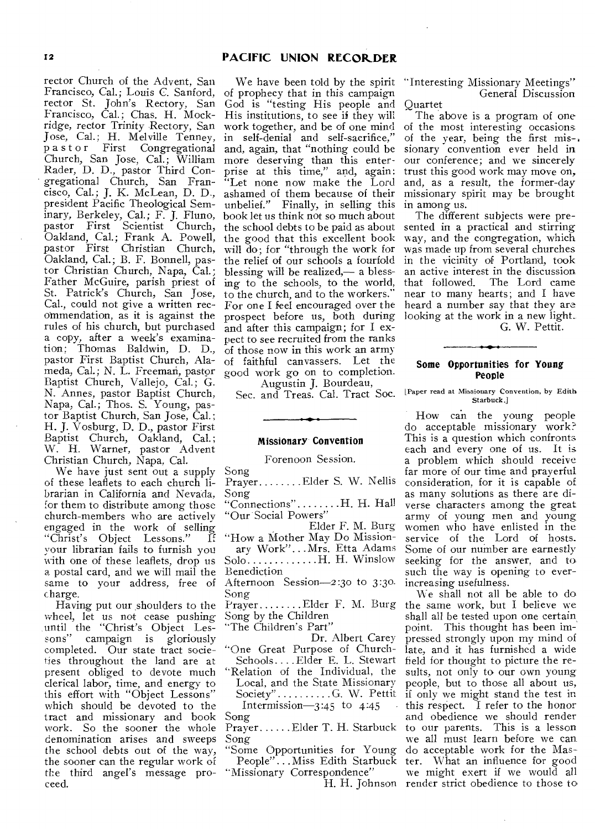rector Church of the Advent, San Francisco, Cal.; Louis C. Sanford, rector St. John's Rectory, San Francisco, Cal.; Chas. H. Mockridge, rector Trinity Rectory, San Jose, Cal.; H. Melville Tenney, pastor First Congregational Church, San Jose, Cal.; William Rader, D. D., pastor Third Congregational Church, San Francisco, Cal.; J. K. McLean, D. D., president Pacific Theological Seminary, Berkeley, Cal.; F. J. Fluno, pastor First Scientist Church, Oakland, Cal.; Frank A. Powell, pastor First Christian Church, Oakland, Cal.; B. F. Bonnell, pastor Christian Church, Napa, Cal.; Father McGuire, parish priest of St. Patrick's Church, San Jose, Cal., could not give a written rec-Ommendation, as it is against the rules of his church, but purchased a copy, after a week's examination; Thomas Baldwin, D. D., pastor First Baptist Church, Alameda, Cal.; N. L. Freeman, pastor Baptist Church, Vallejo, Cal.; G. N. Annes, pastor Baptist Church, Napa, Cal.; Thos. S. Young, pastor Baptist Church, San Jose, Cal.; H. J. Vosburg, D. D., pastor First Baptist Church, Oakland, Cal.; W. H. Warner, pastor Advent Christian Church, Napa, Cal.

We have just sent out a supply of these leaflets to each church librarian in California and Nevada, for them to distribute among those church-members who are actively engaged in the work of selling "Christ's Object Lessons." If your librarian fails to furnish you with one of these leaflets, drop us a postal card, and we will mail the same to your address, free of charge.

Having put our shoulders to the wheel, let us not cease pushing until the "Christ's Object Les-<br>sons" campaign is gloriously campaign is gloriously completed. Our state tract societies throughout the land are at present obliged to devote much clerical labor, time, and energy to this effort with "Object Lessons" which should be devoted to the tract and missionary and book work. So the sooner the whole denomination arises and *sweeps*  the school debts out of the way, the sooner can the regular work of the third angel's message proceed.

We have been told by the spirit of prophecy that in this campaign God is "testing His people and His institutions, to see if they will work together, and be of one mind in self-denial and self-sacrifice,' and, again, that "nothing could be more deserving than this enterprise at this time," and, again: "Let none now make the Lord ashamed of them because of their unbelief." Finally, in selling this book let us think not so much about the school debts to be paid as about the good that this excellent book will do; for "through the work for the relief of our schools a fourfold blessing will be realized,— a blessing to the schools, to the world, to the church, and to the workers.' For one I feel encouraged over the prospect before us, both during and after this campaign; for I expect to see recruited from the ranks of those now in this work an army of faithful canvassers. Let the good work go on to completion.

Augustin J. Bourdeau, Sec. and Treas. Cal. Tract Soc.

# Missionary Convention

Forenoon Session.

Song Prayer........ Elder S. W. Nellis Song

"Connections"........ $H$ . H. Hall "Our Social Powers"

Elder F. M. Burg "How a Mother May Do Missionary Work"...Mrs. Etta Adams  $Solo.$ .............H. H. Winslow Benediction

Afternoon Session-2:3o to 3:30. Song

Prayer........ Elder F. M. Burg Song by the Children

"The Children's Part"

Dr. Albert Carey "One Great Purpose of Church-Schools ....Elder E. L. Stewart "Relation of the Individual, the Local, and the State Missionary

Society" G W. Pettit Intermission- $-3:45$  to  $4:45$ Song

Prayer...... Elder T. H. Starbuck Song

"Some Opportunities for Young People"... Miss Edith Starbuck "Missionary Correspondence"

"Interesting Missionary Meetings" General Discussion **Ouartet** 

The above is a program of one of the most interesting occasions of the year, being the first mis• -, sionary convention ever held in our conference; and we sincerely trust this good work may move on, and, as a result, the former-day

missionary spirit may be brought

in among us. The different subjects were presented in a practical and stirring way, and the congregation, which was made up from several churches in the vicinity of Portland, took an active interest in the discussion<br>that followed. The Lord came The Lord came near to many hearts; and I have heard a number say that they are looking at the work in a new light. G. W. Pettit.

Some Opportunities for *Young*  People

(Paper read at Missionary Convention, by Edith Starbuck .1

How can the young people do acceptable missionary work? This is a question which confronts each and every one of us. It is a problem which should receive far more of our time and prayerful consideration, for it is capable of as many solutions as there are diverse characters among the great army of young men and young women who have enlisted in the service of the Lord of hosts. Some of our number are earnestly seeking for the answer, and to such the way is opening to ever*increasing* usefulness.

H. H. Johnson render strict obedience to those to We shall not all be able to do the same work, but I believe we shall all be tested upon one certain point. This thought has been impressed strongly upon my mind of late, and it has furnished a wide field for thought to picture the results, not only to our own young people, but to those all about us, if only we might stand the test in this respect. I refer to the honor and obedience we should render to our parents. This is a lesson we all must learn before we can do acceptable work for the Master. What an influence for good we might exert if we would all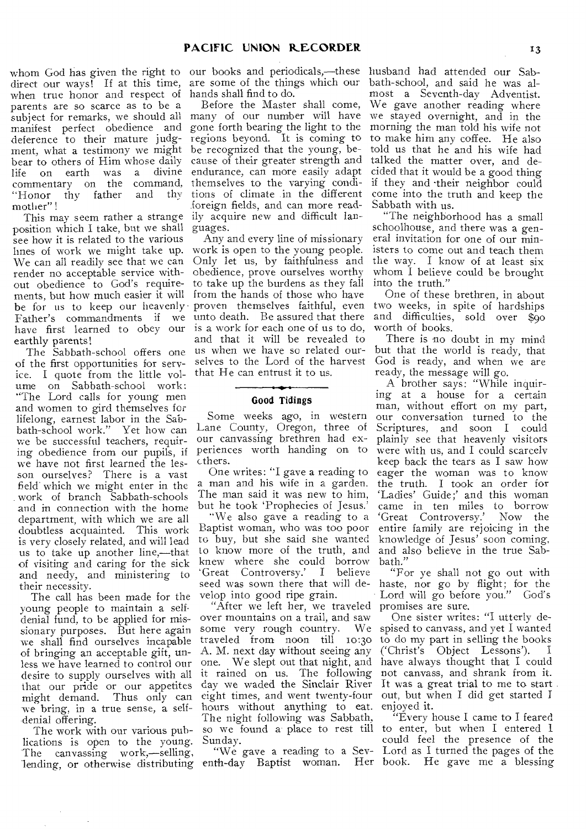direct our ways! If at this time, are some of the things which our when true honor and respect of hands shall find to do. when true honor and respect of hands shall find to do.<br>parents are so scarce as to be a Before the Master shall come, parents are so scarce as to be a subject for remarks, we should all subject for remarks, we should all many of our number will have manifest perfect obedience and gone forth bearing the light to the deference to their mature judg-<br>ment, what a testimony we might ment, what a testimony we might be recognized that the young, be-<br>bear to others of Him whose daily cause of their greater strength and life on earth was a divine endurance, can more easily adapt mother"!  $\qquad \qquad$  foreign fields, and can more read-

position which I take, but we shall guages.<br>see how it is related to the various Any and every line of missionary see how it is related to the various lines of work we might take up. work is open to the young people. We can all readily see that we can Only let us, by faithfulness and We can all readily see that we can Only let us, by faithfulness and<br>render no acceptable service with- obedience, prove ourselves worthy out obedience to God's requirements, but how much easier it will from the hands of those who have be for us to keep our heavenly proven themselves faithful, even<br>Father's commandments if we unto death. Be assured that there Father's commandments if we unto death. Be assured that there have first learned to obey our is a work for each one of us to do. have first learned to obey our

of the first opportunities for serv-selves to the Lord of the hard of the hard of the hard of the local metal of the  $\frac{1}{100}$  of the hard of the section of the hard of the section of the hard of the hard of the section ice. I quote from the little volume on Sabbath-school work: "The Lord calls for young men and women to gird themselves for lifelong, earnest labor in the Sabbath-school work." Yet how can we be successful teachers, requiring obedience from our pupils, if we have not first learned the lesson ourselves? There is a vast field which we might enter in the work of branch Sabbath-schools and in connection with the home department, with which we are all doubtless acquainted. This work is very closely related, and will lead us to take up another line,—that of visiting and caring for the sick and needy, and ministering to their necessity.

The call has been made for the young people to maintain a selfdenial fund, to be applied for missionary purposes. But here again we shall find ourselves incapable of bringing an acceptable gift, unless we have learned to control our desire to supply ourselves with all that our pride or our appetites might demand. Thus only can we bring, in a true sense, a selfdenial offering.

The work with our various publications is open to the young. The canvassing work,—selling, lending, or otherwise distributing enth-day Baptist woman. Her book. He gave me a blessing

whom God has given the right to our books and periodicals,—these husband had attended our Sab-

gone forth bearing the light to the regions beyond. It is coming to Him whose daily cause of their greater strength and<br>was a divine endurance, can more easily adapt commentary on the command, themselves to the varying condi-<br>"Honor thy father and thy tions of climate in the different tions of climate in the different This may seem rather a strange ily acquire new and difficult lan-<br>sition which I take, but we shall guages.

obedience, prove ourselves worthy<br>to take up the burdens as they fall earthly parents! and that it will be revealed to<br>The Sabbath-school offers one us when we have so related ourus when we have so related our-<br>selves to the Lord of the harvest

## **Good** Tidings

Some weeks ago, in western Lane County, Oregon, three of our canvassing brethren had experiences worth handing on to ethers.

One writes: "I gave a reading to a man and his wife in a garden. The man said it was new to him, but he took 'Prophecies of Jesus.'

"We also gave a reading to a<br>Baptist woman, who was too poor Baptist woman, who was too poor entire family are rejoicing in the to buy, but she said she wanted knowledge of Jesus' soon coming, to buy, but she said she wanted knowledge of Jesus' soon coming, to know more of the truth, and and also believe in the true Sabknew where she could borrow<br>'Great Controversy.' I believe 'Great Controversy.' I believe "For ye shall not go out with seed was sown there that will de- haste, nor go by flight; for the

velop into good ripe grain. Lord will go befo<br>
"After we left her, we traveled promises are sure.<br>
over mountains on a trail, and saw One sister write some very rough country. We spised to canvass, and yet I wanted traveled from noon till 10:30 to do my part in selling the books traveled from noon till 10:30 to do my part in selling the book. M. next day without seeing any ('Christ's Object Lessons'). A. M. next day without seeing any ('Christ's Object Lessons'). I one. We slept out that night, and have always thought that I could one. We slept out that night, and have always thought that I could it rained on us. The following not canvass, and shrank from it. day we waded the Sinclair River eight times, and went twenty-four hours without anything to eat. enjoyed it.

bath-school, and said he was almost a Seventh-day Adventist. We gave another reading where we stayed overnight, and in the morning the man told his wife not to make him any coffee. He also told us that he and his wife had talked the matter over, and decided that it would be a good thing if they and -their neighbor could come into the truth and keep the Sabbath with us.

"The neighborhood has a small schoolhouse, and there was a general invitation for one of our ministers to come out and teach them the way. I know of at least six whom I believe could be brought into the truth."

One of these brethren, in about two weeks, in spite of hardships and difficulties, sold over \$90 worth of books.

There is no doubt in my mind but that the world is ready, that God is ready, and when we are ready, the message will go.

A brother says: "While inquiring at a house for a certain man, without effort on my part, our conversation turned to the Scriptures, and soon I could plainly see that heavenly visitors were with us, and I could scarcely keep back the tears as I saw how eager the woman was to know the truth. I took an order for 'Ladies' Guide;' and this woman came in ten miles to borrow<br>'Great Controversy.' Now the 'Great Controversy.' and also believe in the true Sab-<br>bath."

seed was sown there that will de- haste, nor go by flight; for the velop into good ripe grain. • Lord will go before you." God's

One sister writes: "I utterly de-<br>spised to canvass, and yet I wanted it rained on us. The following not canvass, and shrank from it.<br>day we waded the Sinclair River It was a great trial to me to start out, but when I did get started I enjoyed it.

The night following was Sabbath, "Every house I came to I feared The night following was Sabbath, "Every house I came to I feared<br>so we found a place to rest till to enter, but when I entered I<br>could feel the presence of the could feel the presence of the "We gave a reading to a Sev- Lord as I turned the pages of the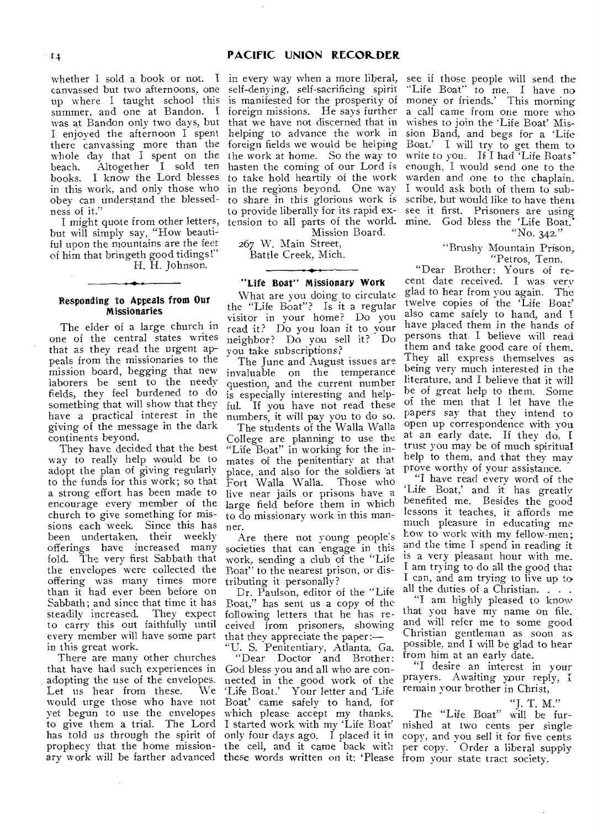whether I sold a book or not. I in every way when a more liberal, canvassed but two afternoons, one self-denying, self-sacrificing spirit up where I taught school this is manifested for the prosperity of summer, and one at Bandon. I foreign missions. He says further was at Bandon only two days, but that we have not discerned that in I enjoyed the afternoon I spent there canvassing more than the whole day that I spent on the beach. Altogether I sold ten hasten the coming of our Lord is books. I know the Lord blesses in this work, and only those who obey can understand the blessedness of it."

I might quote from other letters, but will simply say, "How beautiful upon the mountains are the feet of him that bringeth good tidings!" H. H. Johnson.

# Responding to Appeals from Our **Missionaries**

The elder of a large church in one of the central states writes that as they read the urgent appeals from the missionaries to the mission board, begging that new laborers be sent to the needy fields, they feel burdened to do something that will show that they have a practical interest in the giving of the message in the dark continents beyond.

They have decided that the best way to really help would be to adopt the plan of giving regularly to the funds for this work; so that a strong effort has been made to encourage every member of the church to give something for missions each week. Since this has been undertaken, their weekly offerings have increased many fold. The very first Sabbath that the envelopes were collected the offering was many times more than it had ever been before on Sabbath; and since that time it has<br>steadily increased. They expect steadily increased. to carry this out faithfully until every member will have some part in this great work.

There are many other churches that have had such experiences in adopting the use of the envelopes.<br>Let us hear from these. We Let us hear from these. would urge those who have not yet begun to use the envelopes to give them a trial. The Lord has told us through the spirit of prophecy that the home missionary work will be farther advanced these words written on it: 'Please from your state tract society.

helping to advance the work in foreign fields we would be helping the work at home. So the way to to take hold heartily of the work warden and one to the chaplain. in the regions beyond. One way I would ask both of them to subto share in this 'glorious work is scribe, but would like to have them. to provide liberally for its rapid extension to all parts of the world. foreign fields we would be helping Boat.' I will try to get them to

Mission Board.

267 W. Main Street, Battle Creek, Mich.

# "Life Boat" Missionary Work

What are you doing to circulate the "Life Boat"? Is it a regular visitor in your home? Do you read it? Do you loan it to your neighbor? Do you sell it? Do you take subscriptions?

The June and August issues are invaluable on the temperance question, and the current number is especially interesting and helpful. If you have not read these numbers, it will pay you to do so.

The students of the Walla Walla College are planning to use the "Life Boat" in working for the inmates of the penitentiary at that place, and also for the soldiers at<br>Fort Walla Walla. Those who Fort Walla Walla. live near jails or prisons have a large field before them in which to do missionary work in this manner.

Are there not young people's societies that can engage in this work, sending a club of the "Life Boat" to the nearest prison, or distributing it personally?

Dr. Paulson, editor of the "Life Boat," has sent us a copy of the following letters that he has received from prisoners, showing that they appreciate the paper:—

U. S. Penitentiary, Atlanta, Ga. "Dear Doctor and Brother: God bless you and all who are connected in the good work of the `Life Boat.' Your letter and 'Life Boat' came safely to hand, for which please accept my thanks. I started work with my 'Life Boat' only four days ago. I placed it in the cell, and it came back with

see if those people will send the "Life Boat" to me. I have no money or friends.' This morning a call came from one more who wishes to join the 'Life Boat' Mission Band, and begs for a 'Life write to you. If I had 'Life Boats' enough, I would send one to the see it first. Prisoners are using mine. God bless the 'Life Boat.' "No. 342."

> "Brushy Mountain Prison, "Petros, Tenn.

"Dear Brother: Yours of recent date received. I was very glad to hear from you again. The twelve copies of the 'Life Boat' also came safely to hand, and I have placed them in the hands of persons that I believe will read them and take good care of them. They all express themselves as being very much interested in the literature, and I believe that it will be of great help to them. Some of the men that I let have the papers say that they intend to open up correspondence with you at an early date. If they do, I trust you may be of much spiritual help to them, and that they may prove worthy of your assistance.

"I have read every word of the 'Life Boat,' and it has greatly benefited me. Besides the good lessons it teaches, it affords me much pleasure in educating me how to work with my fellow-men; and the time I spend in reading it is a very pleasant hour with me. I am trying to do all the good that. I can, and am trying to live up to all the duties of a Christian. . . .

"I am highly pleased to know that you have my name on file, and will refer me to some good Christian gentleman as soon as possible, and I will be glad to hear from him at an early date.

"I desire an interest in your prayers. Awaiting your reply, I remain your brother in Christ,

# "J. T. M."

The "Life Boat" will be furnished at two cents per single copy, and you sell it for five cents per copy. Order a liberal supply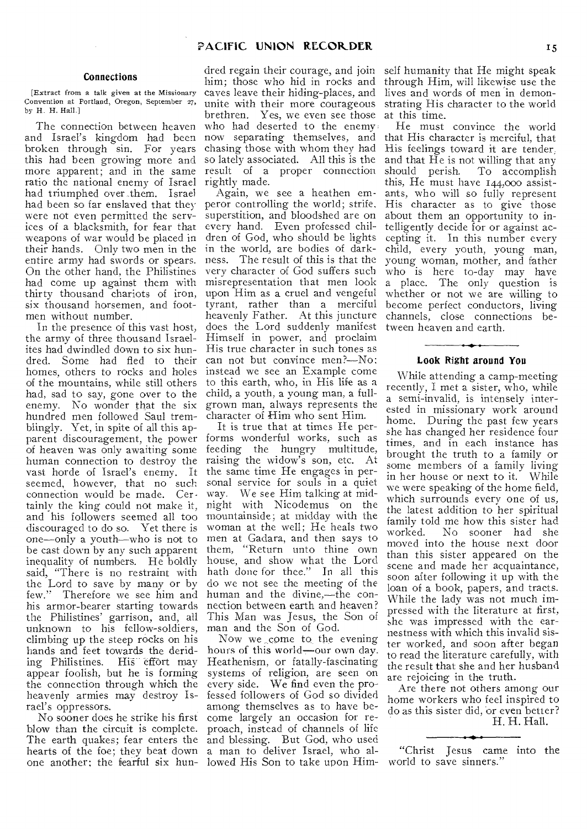### Connections

[Extract from a talk given at the Missionary Convention at Portland, Oregon, September 27, by H. H. Hall.]

The connection between heaven and Israel's kingdom had been broken through sin. For years this had been growing more and more apparent; and in the same ratio the national enemy of Israel had triumphed over them. Israel had been so far enslaved that they were not even permitted the services of a blacksmith, for fear that weapons of war would be placed in their hands. Only two men in the entire army had swords or spears. On the other hand, the Philistines had come up against them with thirty thousand chariots of iron, six thousand horsemen, and footmen without number.

In the presence of this vast host, the army of three thousand Israelites had dwindled down to six hundred. Some had fled to their homes, others to rocks and holes of the mountains, while still others had, sad to say, gone over to the enemy. No wonder that the six hundred men followed Saul tremblingly. Yet, in spite of all this apparent discouragement, the power of heaven was only awaiting some human connection to destroy the vast horde of Israel's enemy. It seemed, however, that no such connection would be made. Certainly the king could not make it, and his followers seemed all too discouraged to do so. Yet there is one—only a youth—who is not to be cast down by any such apparent inequality of numbers. He boldly said, "There is no restraint with the Lord to save by many or by few." Therefore we see him and his armor-bearer starting towards the Philistines' garrison, and, all unknown to his fellow-soldiers, climbing up the steep rocks on his hands and feet towards the deriding Philistines. HiS effort may appear foolish, but he is forming the connection through which the heavenly armies may destroy Israel's oppressors.

No sooner does he strike his first blow than the circuit is complete. The earth quakes; fear enters the hearts of the foe; they beat down one another; the fearful six hun-

dred regain their courage, and join him; those who hid in rocks and caves leave their hiding-places, and unite with their more courageous brethren. Yes, we even see those at this time. who had deserted to the enemy now separating themselves, and chasing those with whom they had so lately associated. All this is the result of a proper connection rightly made.

Again, we see a heathen emperor controlling the world; strife, superstition, and bloodshed are on every hand. Even professed children of God, who should be lights in the world, are bodies of darkness. The result of this is that the very character of God suffers such misrepresentation that men look upon Him as a cruel and vengeful tyrant, rather than a merciful heavenly Father. At this juncture does the Lord suddenly manifest Himself in power, and proclaim His true character in such tones as can not but convince men?—No; instead we see an Example come to this earth, who, in His life as a child, a youth, a young man, a fullgrown man, always represents the character of Him who sent Him.

It is true that at times He performs wonderful works, such as feeding the hungry multitude, raising the widow's son, etc. At the same time He engages in personal service for souls in a quiet way. We see Him talking at midnight with Nicodemus on the mountainside; at midday with the woman at the well; He heals two men at Gadara, and then says to them, "Return unto thine own house, and show what the Lord hath done for thee." In all this do we not see the meeting of the human and the divine,—the connection between earth and heaven? This Man was Jesus, the Son of man and the Son of God.

Now we come to the evening hours of this world—our own day. Heathenism, or fatally-fascinating systems of religion, are seen on every side. We find even the professed followers of God so divided among themselves as to have become largely an occasion for reproach, instead of channels of life and blessing. But God, who used a man to deliver Israel, who allowed His Son to take upon Him-

self humanity that He might speak through Him, will likewise use the lives and words of men in demonstrating His character to the world

He must convince the world that His character is merciful, that His feelings toward it are tender, and that He is not willing that any<br>should perish. To accomplish should perish. this, He must have  $144,000$  assistants, who will so fully represent His character as to give those about them an opportunity to intelligently decide for or against accepting it. In this number every child, every youth, young man, young woman, mother, and father who is here to-day may have a place. The only question is whether or not we are willing to become perfect conductors, living channels, close connections between heaven and earth.

#### Look Right around You

While attending a camp-meeting recently, I met a sister, who, while a semi-invalid, is intensely interested in missionary work around home. During the past few years she has changed her residence four times, and in each instance has brought the truth to a family or some members of a family living in her house or next to it. While we were speaking of the home field, which surrounds every one of us, the latest addition to her spiritual family told me how this sister had<br>worked No sooner had she No sooner had she moved into the house next door than this sister appeared on the scene and made her acquaintance, soon after following it up with the loan of a book, papers, and tracts. While the lady was not much impressed with the literature at first, she was impressed with the earnestness with which this invalid sister worked, and soon after began to read the literature carefully, with the result that she and her husband are rejoicing in the truth.

Are there not others among our home workers who feel inspired to do as this sister did, or even better? H. H. Hall.

"Christ Jesus came into the world to save sinners."